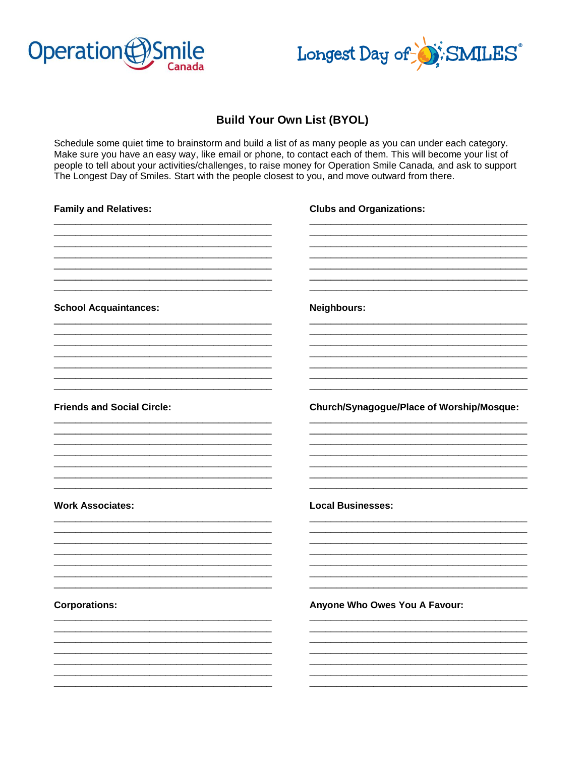



## **Build Your Own List (BYOL)**

Schedule some quiet time to brainstorm and build a list of as many people as you can under each category. Make sure you have an easy way, like email or phone, to contact each of them. This will become your list of people to tell about your activities/challenges, to raise money for Operation Smile Canada, and ask to support The Longest Day of Smiles. Start with the people closest to you, and move outward from there.

| <b>Family and Relatives:</b>      | <b>Clubs and Organizations:</b>           |
|-----------------------------------|-------------------------------------------|
|                                   |                                           |
| <b>School Acquaintances:</b>      | Neighbours:                               |
|                                   |                                           |
| <b>Friends and Social Circle:</b> | Church/Synagogue/Place of Worship/Mosque: |
| <b>Work Associates:</b>           | <b>Local Businesses:</b>                  |
|                                   |                                           |
| <b>Corporations:</b>              | Anyone Who Owes You A Favour:             |
|                                   |                                           |